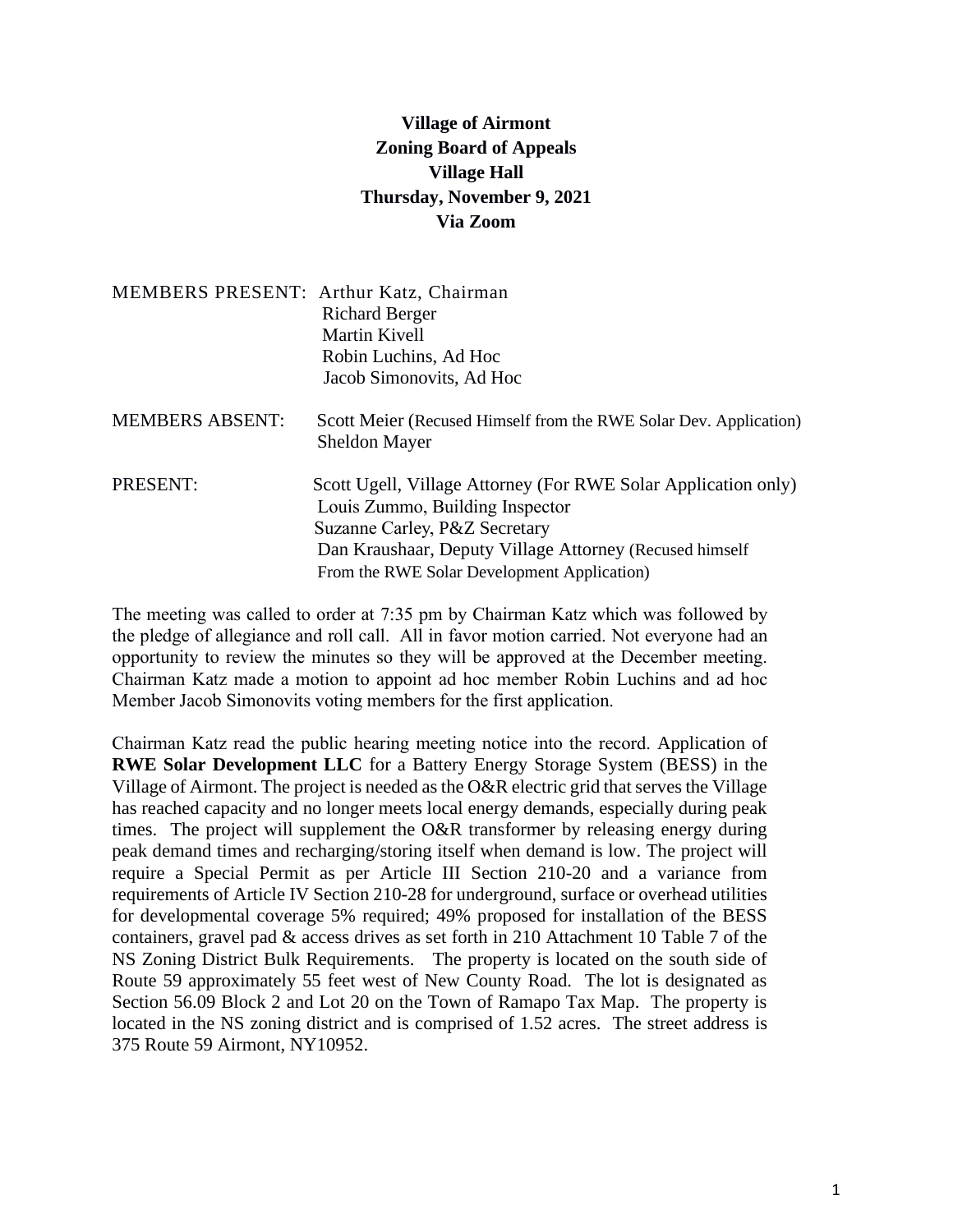## **Village of Airmont Zoning Board of Appeals Village Hall Thursday, November 9, 2021 Via Zoom**

|                        | MEMBERS PRESENT: Arthur Katz, Chairman                                                            |  |  |
|------------------------|---------------------------------------------------------------------------------------------------|--|--|
|                        | <b>Richard Berger</b>                                                                             |  |  |
|                        | Martin Kivell                                                                                     |  |  |
|                        | Robin Luchins, Ad Hoc                                                                             |  |  |
|                        | Jacob Simonovits, Ad Hoc                                                                          |  |  |
| <b>MEMBERS ABSENT:</b> | Scott Meier (Recused Himself from the RWE Solar Dev. Application)<br><b>Sheldon Mayer</b>         |  |  |
| PRESENT:               | Scott Ugell, Village Attorney (For RWE Solar Application only)<br>Louis Zummo, Building Inspector |  |  |
|                        | Suzanne Carley, P&Z Secretary                                                                     |  |  |
|                        | Dan Kraushaar, Deputy Village Attorney (Recused himself                                           |  |  |
|                        | From the RWE Solar Development Application)                                                       |  |  |

The meeting was called to order at 7:35 pm by Chairman Katz which was followed by the pledge of allegiance and roll call. All in favor motion carried. Not everyone had an opportunity to review the minutes so they will be approved at the December meeting. Chairman Katz made a motion to appoint ad hoc member Robin Luchins and ad hoc Member Jacob Simonovits voting members for the first application.

Chairman Katz read the public hearing meeting notice into the record. Application of **RWE Solar Development LLC** for a Battery Energy Storage System (BESS) in the Village of Airmont. The project is needed as the O&R electric grid that serves the Village has reached capacity and no longer meets local energy demands, especially during peak times. The project will supplement the O&R transformer by releasing energy during peak demand times and recharging/storing itself when demand is low. The project will require a Special Permit as per Article III Section 210-20 and a variance from requirements of Article IV Section 210-28 for underground, surface or overhead utilities for developmental coverage 5% required; 49% proposed for installation of the BESS containers, gravel pad & access drives as set forth in 210 Attachment 10 Table 7 of the NS Zoning District Bulk Requirements. The property is located on the south side of Route 59 approximately 55 feet west of New County Road. The lot is designated as Section 56.09 Block 2 and Lot 20 on the Town of Ramapo Tax Map. The property is located in the NS zoning district and is comprised of 1.52 acres. The street address is 375 Route 59 Airmont, NY10952.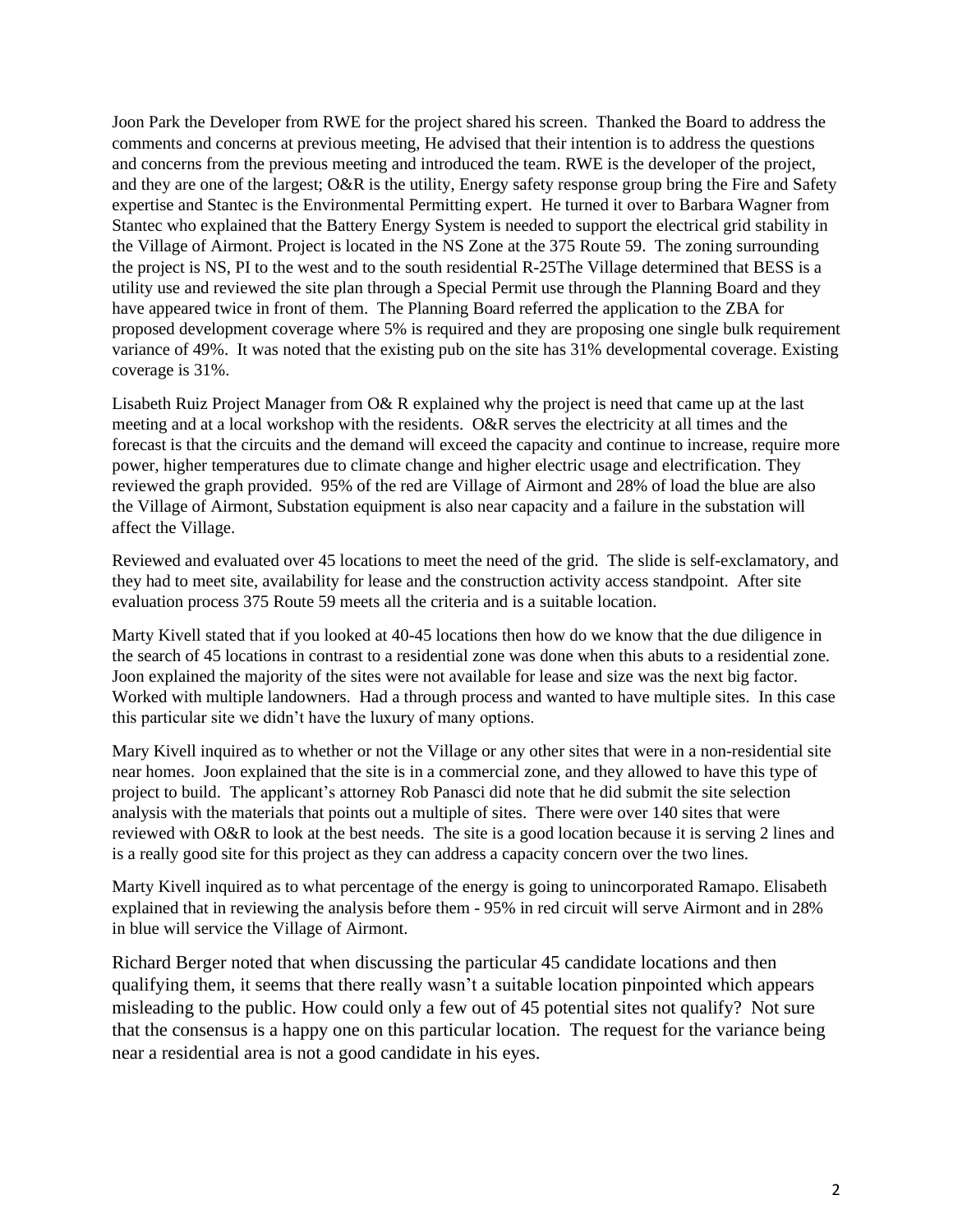Joon Park the Developer from RWE for the project shared his screen. Thanked the Board to address the comments and concerns at previous meeting, He advised that their intention is to address the questions and concerns from the previous meeting and introduced the team. RWE is the developer of the project, and they are one of the largest; O&R is the utility, Energy safety response group bring the Fire and Safety expertise and Stantec is the Environmental Permitting expert. He turned it over to Barbara Wagner from Stantec who explained that the Battery Energy System is needed to support the electrical grid stability in the Village of Airmont. Project is located in the NS Zone at the 375 Route 59. The zoning surrounding the project is NS, PI to the west and to the south residential R-25The Village determined that BESS is a utility use and reviewed the site plan through a Special Permit use through the Planning Board and they have appeared twice in front of them. The Planning Board referred the application to the ZBA for proposed development coverage where 5% is required and they are proposing one single bulk requirement variance of 49%. It was noted that the existing pub on the site has 31% developmental coverage. Existing coverage is 31%.

Lisabeth Ruiz Project Manager from O& R explained why the project is need that came up at the last meeting and at a local workshop with the residents. O&R serves the electricity at all times and the forecast is that the circuits and the demand will exceed the capacity and continue to increase, require more power, higher temperatures due to climate change and higher electric usage and electrification. They reviewed the graph provided. 95% of the red are Village of Airmont and 28% of load the blue are also the Village of Airmont, Substation equipment is also near capacity and a failure in the substation will affect the Village.

Reviewed and evaluated over 45 locations to meet the need of the grid. The slide is self-exclamatory, and they had to meet site, availability for lease and the construction activity access standpoint. After site evaluation process 375 Route 59 meets all the criteria and is a suitable location.

Marty Kivell stated that if you looked at 40-45 locations then how do we know that the due diligence in the search of 45 locations in contrast to a residential zone was done when this abuts to a residential zone. Joon explained the majority of the sites were not available for lease and size was the next big factor. Worked with multiple landowners. Had a through process and wanted to have multiple sites. In this case this particular site we didn't have the luxury of many options.

Mary Kivell inquired as to whether or not the Village or any other sites that were in a non-residential site near homes. Joon explained that the site is in a commercial zone, and they allowed to have this type of project to build. The applicant's attorney Rob Panasci did note that he did submit the site selection analysis with the materials that points out a multiple of sites. There were over 140 sites that were reviewed with O&R to look at the best needs. The site is a good location because it is serving 2 lines and is a really good site for this project as they can address a capacity concern over the two lines.

Marty Kivell inquired as to what percentage of the energy is going to unincorporated Ramapo. Elisabeth explained that in reviewing the analysis before them - 95% in red circuit will serve Airmont and in 28% in blue will service the Village of Airmont.

Richard Berger noted that when discussing the particular 45 candidate locations and then qualifying them, it seems that there really wasn't a suitable location pinpointed which appears misleading to the public. How could only a few out of 45 potential sites not qualify? Not sure that the consensus is a happy one on this particular location. The request for the variance being near a residential area is not a good candidate in his eyes.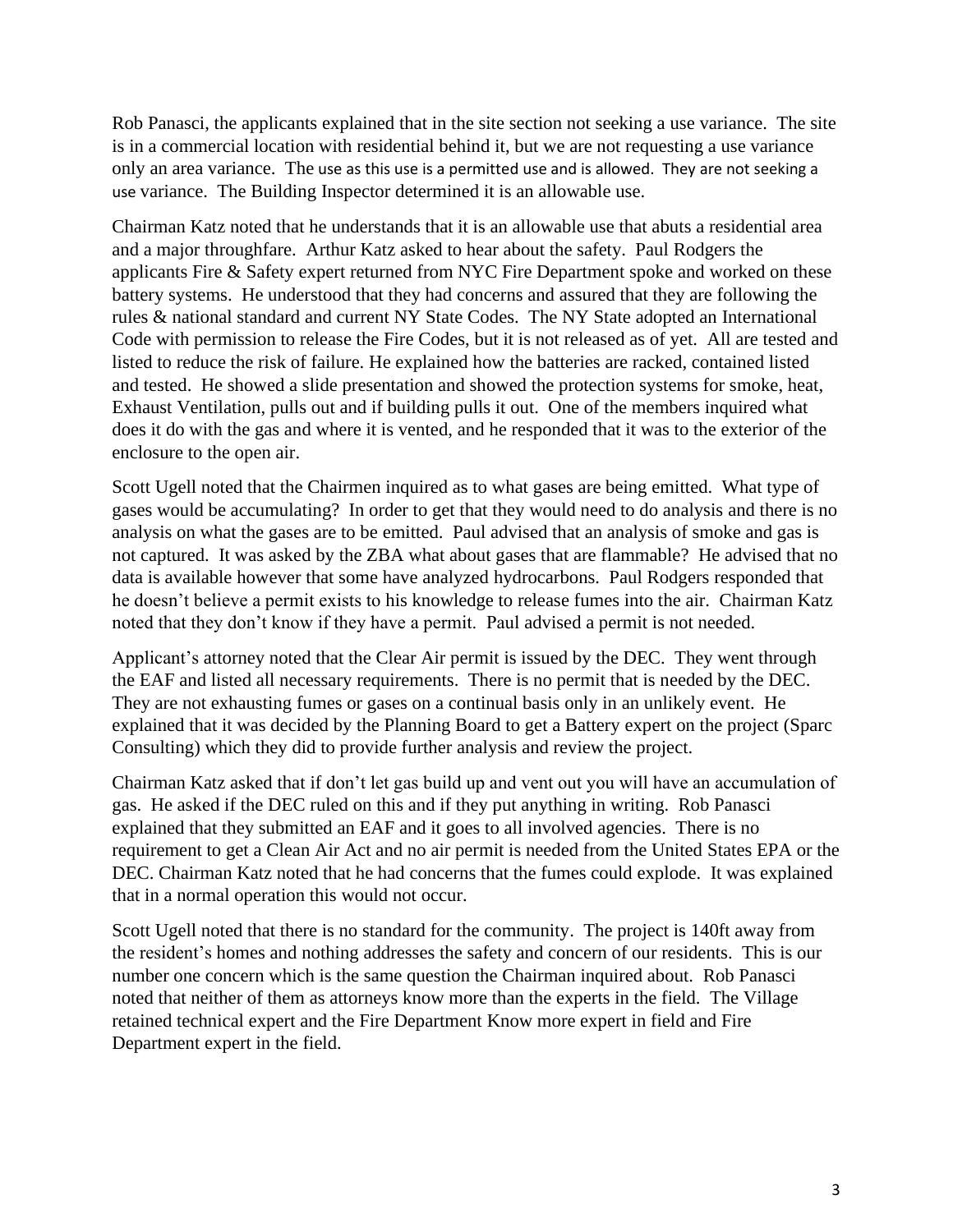Rob Panasci, the applicants explained that in the site section not seeking a use variance. The site is in a commercial location with residential behind it, but we are not requesting a use variance only an area variance. The use as this use is a permitted use and is allowed. They are not seeking a use variance. The Building Inspector determined it is an allowable use.

Chairman Katz noted that he understands that it is an allowable use that abuts a residential area and a major throughfare. Arthur Katz asked to hear about the safety. Paul Rodgers the applicants Fire & Safety expert returned from NYC Fire Department spoke and worked on these battery systems. He understood that they had concerns and assured that they are following the rules & national standard and current NY State Codes. The NY State adopted an International Code with permission to release the Fire Codes, but it is not released as of yet. All are tested and listed to reduce the risk of failure. He explained how the batteries are racked, contained listed and tested. He showed a slide presentation and showed the protection systems for smoke, heat, Exhaust Ventilation, pulls out and if building pulls it out. One of the members inquired what does it do with the gas and where it is vented, and he responded that it was to the exterior of the enclosure to the open air.

Scott Ugell noted that the Chairmen inquired as to what gases are being emitted. What type of gases would be accumulating? In order to get that they would need to do analysis and there is no analysis on what the gases are to be emitted. Paul advised that an analysis of smoke and gas is not captured. It was asked by the ZBA what about gases that are flammable? He advised that no data is available however that some have analyzed hydrocarbons. Paul Rodgers responded that he doesn't believe a permit exists to his knowledge to release fumes into the air. Chairman Katz noted that they don't know if they have a permit. Paul advised a permit is not needed.

Applicant's attorney noted that the Clear Air permit is issued by the DEC. They went through the EAF and listed all necessary requirements. There is no permit that is needed by the DEC. They are not exhausting fumes or gases on a continual basis only in an unlikely event. He explained that it was decided by the Planning Board to get a Battery expert on the project (Sparc Consulting) which they did to provide further analysis and review the project.

Chairman Katz asked that if don't let gas build up and vent out you will have an accumulation of gas. He asked if the DEC ruled on this and if they put anything in writing. Rob Panasci explained that they submitted an EAF and it goes to all involved agencies. There is no requirement to get a Clean Air Act and no air permit is needed from the United States EPA or the DEC. Chairman Katz noted that he had concerns that the fumes could explode. It was explained that in a normal operation this would not occur.

Scott Ugell noted that there is no standard for the community. The project is 140ft away from the resident's homes and nothing addresses the safety and concern of our residents. This is our number one concern which is the same question the Chairman inquired about. Rob Panasci noted that neither of them as attorneys know more than the experts in the field. The Village retained technical expert and the Fire Department Know more expert in field and Fire Department expert in the field.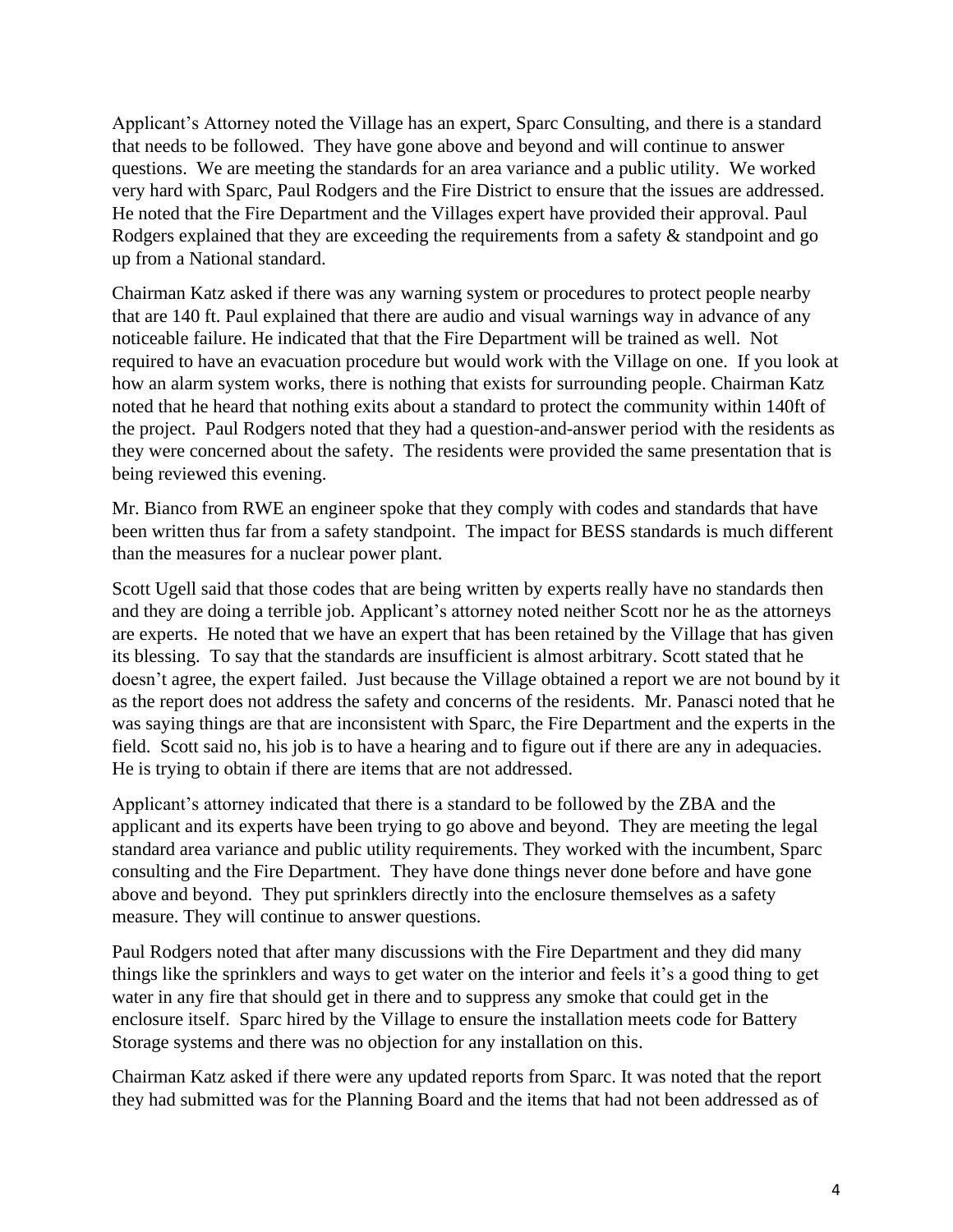Applicant's Attorney noted the Village has an expert, Sparc Consulting, and there is a standard that needs to be followed. They have gone above and beyond and will continue to answer questions. We are meeting the standards for an area variance and a public utility. We worked very hard with Sparc, Paul Rodgers and the Fire District to ensure that the issues are addressed. He noted that the Fire Department and the Villages expert have provided their approval. Paul Rodgers explained that they are exceeding the requirements from a safety  $\&$  standpoint and go up from a National standard.

Chairman Katz asked if there was any warning system or procedures to protect people nearby that are 140 ft. Paul explained that there are audio and visual warnings way in advance of any noticeable failure. He indicated that that the Fire Department will be trained as well. Not required to have an evacuation procedure but would work with the Village on one. If you look at how an alarm system works, there is nothing that exists for surrounding people. Chairman Katz noted that he heard that nothing exits about a standard to protect the community within 140ft of the project. Paul Rodgers noted that they had a question-and-answer period with the residents as they were concerned about the safety. The residents were provided the same presentation that is being reviewed this evening.

Mr. Bianco from RWE an engineer spoke that they comply with codes and standards that have been written thus far from a safety standpoint. The impact for BESS standards is much different than the measures for a nuclear power plant.

Scott Ugell said that those codes that are being written by experts really have no standards then and they are doing a terrible job. Applicant's attorney noted neither Scott nor he as the attorneys are experts. He noted that we have an expert that has been retained by the Village that has given its blessing. To say that the standards are insufficient is almost arbitrary. Scott stated that he doesn't agree, the expert failed. Just because the Village obtained a report we are not bound by it as the report does not address the safety and concerns of the residents. Mr. Panasci noted that he was saying things are that are inconsistent with Sparc, the Fire Department and the experts in the field. Scott said no, his job is to have a hearing and to figure out if there are any in adequacies. He is trying to obtain if there are items that are not addressed.

Applicant's attorney indicated that there is a standard to be followed by the ZBA and the applicant and its experts have been trying to go above and beyond. They are meeting the legal standard area variance and public utility requirements. They worked with the incumbent, Sparc consulting and the Fire Department. They have done things never done before and have gone above and beyond. They put sprinklers directly into the enclosure themselves as a safety measure. They will continue to answer questions.

Paul Rodgers noted that after many discussions with the Fire Department and they did many things like the sprinklers and ways to get water on the interior and feels it's a good thing to get water in any fire that should get in there and to suppress any smoke that could get in the enclosure itself. Sparc hired by the Village to ensure the installation meets code for Battery Storage systems and there was no objection for any installation on this.

Chairman Katz asked if there were any updated reports from Sparc. It was noted that the report they had submitted was for the Planning Board and the items that had not been addressed as of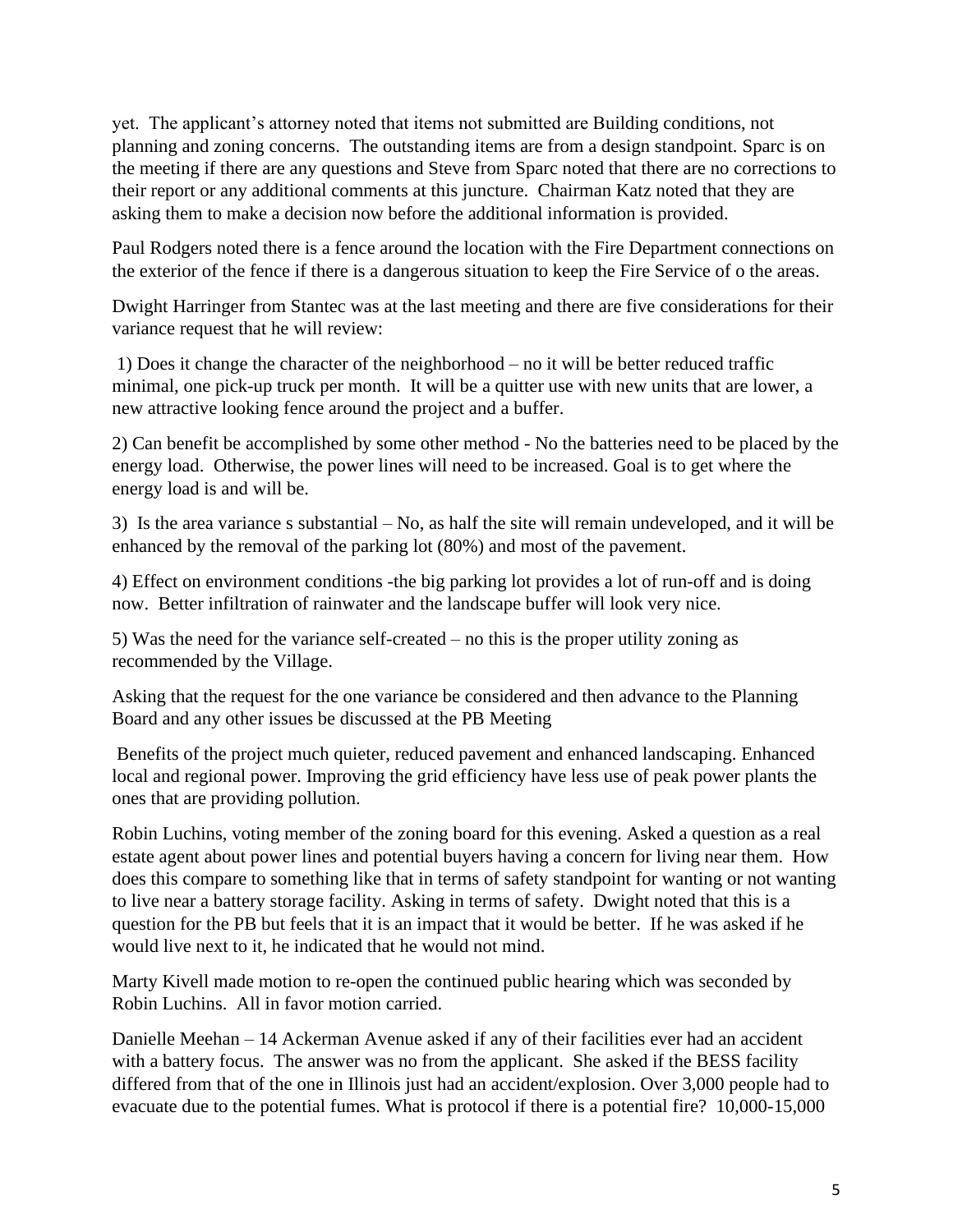yet. The applicant's attorney noted that items not submitted are Building conditions, not planning and zoning concerns. The outstanding items are from a design standpoint. Sparc is on the meeting if there are any questions and Steve from Sparc noted that there are no corrections to their report or any additional comments at this juncture. Chairman Katz noted that they are asking them to make a decision now before the additional information is provided.

Paul Rodgers noted there is a fence around the location with the Fire Department connections on the exterior of the fence if there is a dangerous situation to keep the Fire Service of o the areas.

Dwight Harringer from Stantec was at the last meeting and there are five considerations for their variance request that he will review:

1) Does it change the character of the neighborhood – no it will be better reduced traffic minimal, one pick-up truck per month. It will be a quitter use with new units that are lower, a new attractive looking fence around the project and a buffer.

2) Can benefit be accomplished by some other method - No the batteries need to be placed by the energy load. Otherwise, the power lines will need to be increased. Goal is to get where the energy load is and will be.

3) Is the area variance s substantial – No, as half the site will remain undeveloped, and it will be enhanced by the removal of the parking lot (80%) and most of the pavement.

4) Effect on environment conditions -the big parking lot provides a lot of run-off and is doing now. Better infiltration of rainwater and the landscape buffer will look very nice.

5) Was the need for the variance self-created – no this is the proper utility zoning as recommended by the Village.

Asking that the request for the one variance be considered and then advance to the Planning Board and any other issues be discussed at the PB Meeting

Benefits of the project much quieter, reduced pavement and enhanced landscaping. Enhanced local and regional power. Improving the grid efficiency have less use of peak power plants the ones that are providing pollution.

Robin Luchins, voting member of the zoning board for this evening. Asked a question as a real estate agent about power lines and potential buyers having a concern for living near them. How does this compare to something like that in terms of safety standpoint for wanting or not wanting to live near a battery storage facility. Asking in terms of safety. Dwight noted that this is a question for the PB but feels that it is an impact that it would be better. If he was asked if he would live next to it, he indicated that he would not mind.

Marty Kivell made motion to re-open the continued public hearing which was seconded by Robin Luchins. All in favor motion carried.

Danielle Meehan – 14 Ackerman Avenue asked if any of their facilities ever had an accident with a battery focus. The answer was no from the applicant. She asked if the BESS facility differed from that of the one in Illinois just had an accident/explosion. Over 3,000 people had to evacuate due to the potential fumes. What is protocol if there is a potential fire? 10,000-15,000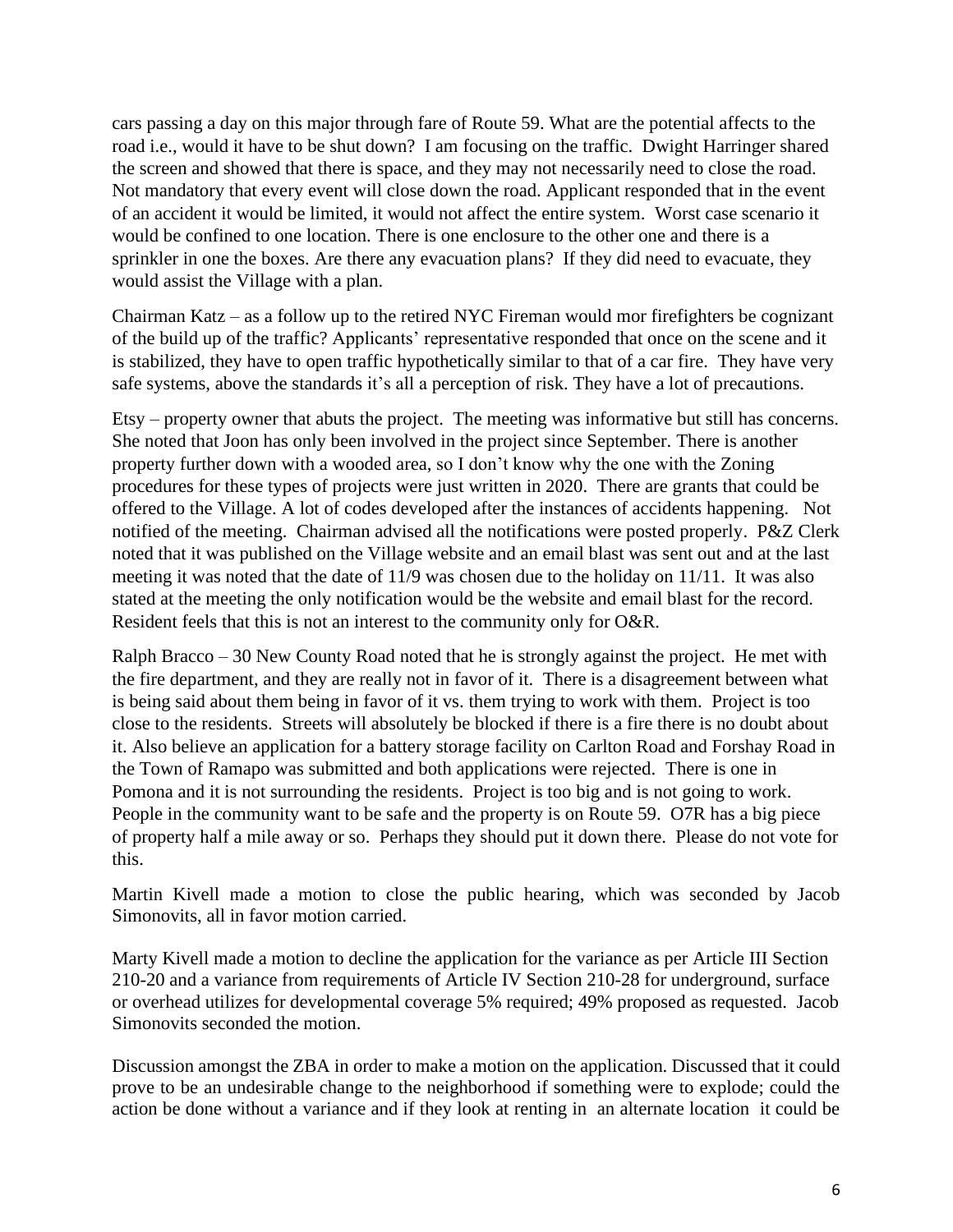cars passing a day on this major through fare of Route 59. What are the potential affects to the road i.e., would it have to be shut down? I am focusing on the traffic. Dwight Harringer shared the screen and showed that there is space, and they may not necessarily need to close the road. Not mandatory that every event will close down the road. Applicant responded that in the event of an accident it would be limited, it would not affect the entire system. Worst case scenario it would be confined to one location. There is one enclosure to the other one and there is a sprinkler in one the boxes. Are there any evacuation plans? If they did need to evacuate, they would assist the Village with a plan.

Chairman Katz – as a follow up to the retired NYC Fireman would mor firefighters be cognizant of the build up of the traffic? Applicants' representative responded that once on the scene and it is stabilized, they have to open traffic hypothetically similar to that of a car fire. They have very safe systems, above the standards it's all a perception of risk. They have a lot of precautions.

Etsy – property owner that abuts the project. The meeting was informative but still has concerns. She noted that Joon has only been involved in the project since September. There is another property further down with a wooded area, so I don't know why the one with the Zoning procedures for these types of projects were just written in 2020. There are grants that could be offered to the Village. A lot of codes developed after the instances of accidents happening. Not notified of the meeting. Chairman advised all the notifications were posted properly. P&Z Clerk noted that it was published on the Village website and an email blast was sent out and at the last meeting it was noted that the date of 11/9 was chosen due to the holiday on 11/11. It was also stated at the meeting the only notification would be the website and email blast for the record. Resident feels that this is not an interest to the community only for O&R.

Ralph Bracco – 30 New County Road noted that he is strongly against the project. He met with the fire department, and they are really not in favor of it. There is a disagreement between what is being said about them being in favor of it vs. them trying to work with them. Project is too close to the residents. Streets will absolutely be blocked if there is a fire there is no doubt about it. Also believe an application for a battery storage facility on Carlton Road and Forshay Road in the Town of Ramapo was submitted and both applications were rejected. There is one in Pomona and it is not surrounding the residents. Project is too big and is not going to work. People in the community want to be safe and the property is on Route 59. O7R has a big piece of property half a mile away or so. Perhaps they should put it down there. Please do not vote for this.

Martin Kivell made a motion to close the public hearing, which was seconded by Jacob Simonovits, all in favor motion carried.

Marty Kivell made a motion to decline the application for the variance as per Article III Section 210-20 and a variance from requirements of Article IV Section 210-28 for underground, surface or overhead utilizes for developmental coverage 5% required; 49% proposed as requested. Jacob Simonovits seconded the motion.

Discussion amongst the ZBA in order to make a motion on the application. Discussed that it could prove to be an undesirable change to the neighborhood if something were to explode; could the action be done without a variance and if they look at renting in an alternate location it could be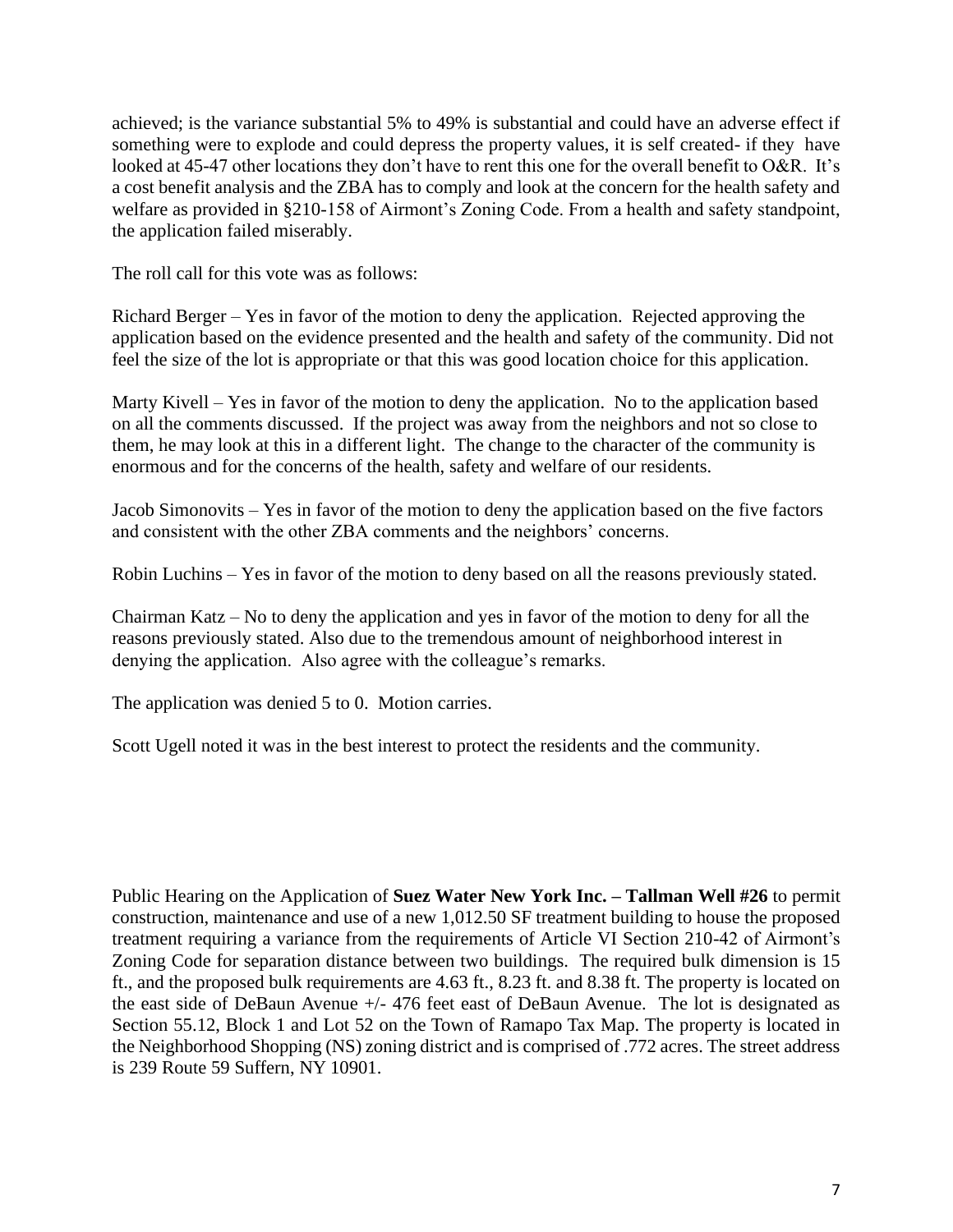achieved; is the variance substantial 5% to 49% is substantial and could have an adverse effect if something were to explode and could depress the property values, it is self created- if they have looked at 45-47 other locations they don't have to rent this one for the overall benefit to O&R. It's a cost benefit analysis and the ZBA has to comply and look at the concern for the health safety and welfare as provided in §210-158 of Airmont's Zoning Code. From a health and safety standpoint, the application failed miserably.

The roll call for this vote was as follows:

Richard Berger – Yes in favor of the motion to deny the application. Rejected approving the application based on the evidence presented and the health and safety of the community. Did not feel the size of the lot is appropriate or that this was good location choice for this application.

Marty Kivell – Yes in favor of the motion to deny the application. No to the application based on all the comments discussed. If the project was away from the neighbors and not so close to them, he may look at this in a different light. The change to the character of the community is enormous and for the concerns of the health, safety and welfare of our residents.

Jacob Simonovits – Yes in favor of the motion to deny the application based on the five factors and consistent with the other ZBA comments and the neighbors' concerns.

Robin Luchins – Yes in favor of the motion to deny based on all the reasons previously stated.

Chairman Katz – No to deny the application and yes in favor of the motion to deny for all the reasons previously stated. Also due to the tremendous amount of neighborhood interest in denying the application. Also agree with the colleague's remarks.

The application was denied 5 to 0. Motion carries.

Scott Ugell noted it was in the best interest to protect the residents and the community.

Public Hearing on the Application of **Suez Water New York Inc. – Tallman Well #26** to permit construction, maintenance and use of a new 1,012.50 SF treatment building to house the proposed treatment requiring a variance from the requirements of Article VI Section 210-42 of Airmont's Zoning Code for separation distance between two buildings. The required bulk dimension is 15 ft., and the proposed bulk requirements are 4.63 ft., 8.23 ft. and 8.38 ft. The property is located on the east side of DeBaun Avenue +/- 476 feet east of DeBaun Avenue. The lot is designated as Section 55.12, Block 1 and Lot 52 on the Town of Ramapo Tax Map. The property is located in the Neighborhood Shopping (NS) zoning district and is comprised of .772 acres. The street address is 239 Route 59 Suffern, NY 10901.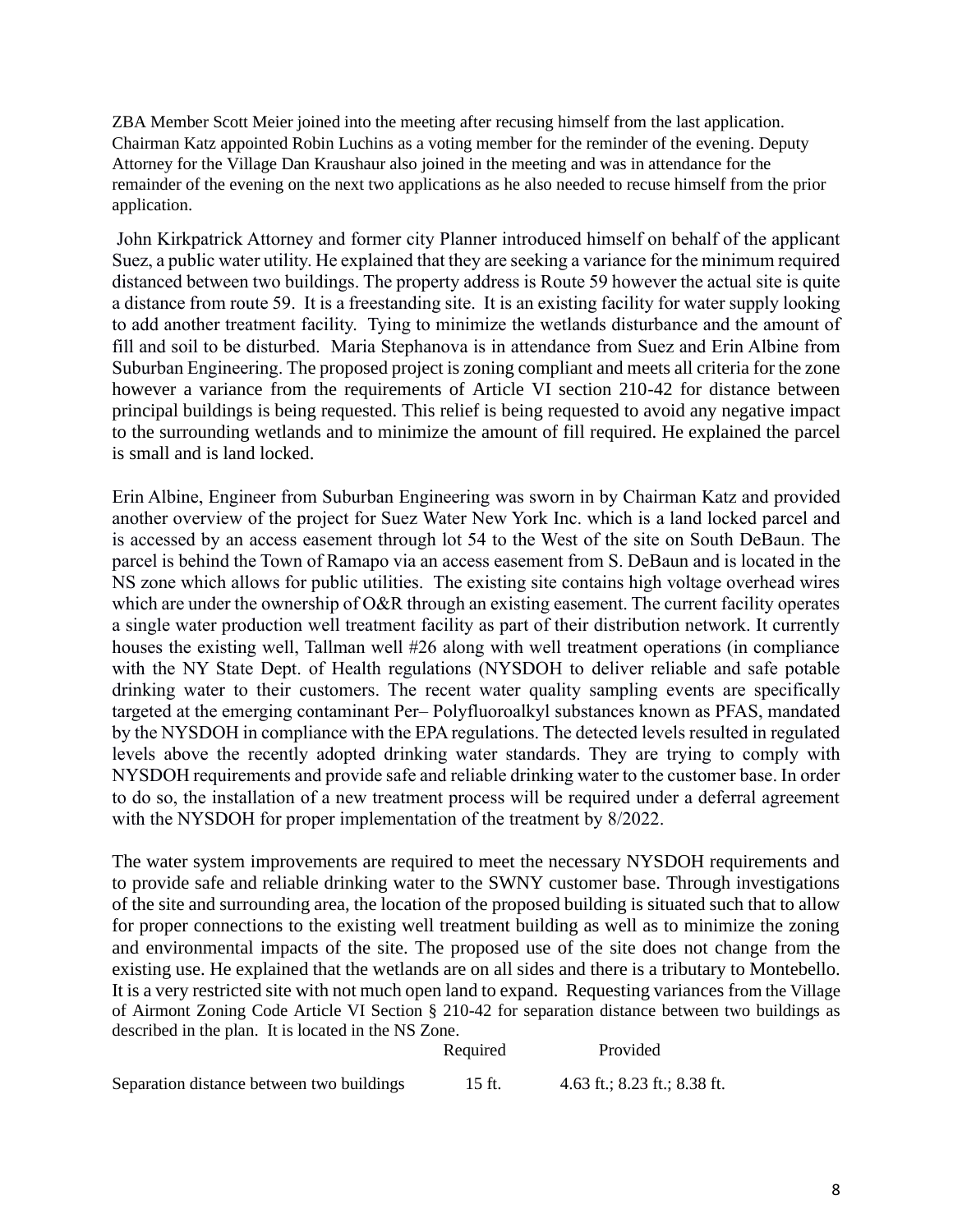ZBA Member Scott Meier joined into the meeting after recusing himself from the last application. Chairman Katz appointed Robin Luchins as a voting member for the reminder of the evening. Deputy Attorney for the Village Dan Kraushaur also joined in the meeting and was in attendance for the remainder of the evening on the next two applications as he also needed to recuse himself from the prior application.

John Kirkpatrick Attorney and former city Planner introduced himself on behalf of the applicant Suez, a public water utility. He explained that they are seeking a variance for the minimum required distanced between two buildings. The property address is Route 59 however the actual site is quite a distance from route 59. It is a freestanding site. It is an existing facility for water supply looking to add another treatment facility. Tying to minimize the wetlands disturbance and the amount of fill and soil to be disturbed. Maria Stephanova is in attendance from Suez and Erin Albine from Suburban Engineering. The proposed project is zoning compliant and meets all criteria for the zone however a variance from the requirements of Article VI section 210-42 for distance between principal buildings is being requested. This relief is being requested to avoid any negative impact to the surrounding wetlands and to minimize the amount of fill required. He explained the parcel is small and is land locked.

Erin Albine, Engineer from Suburban Engineering was sworn in by Chairman Katz and provided another overview of the project for Suez Water New York Inc. which is a land locked parcel and is accessed by an access easement through lot 54 to the West of the site on South DeBaun. The parcel is behind the Town of Ramapo via an access easement from S. DeBaun and is located in the NS zone which allows for public utilities. The existing site contains high voltage overhead wires which are under the ownership of O&R through an existing easement. The current facility operates a single water production well treatment facility as part of their distribution network. It currently houses the existing well, Tallman well #26 along with well treatment operations (in compliance with the NY State Dept. of Health regulations (NYSDOH to deliver reliable and safe potable drinking water to their customers. The recent water quality sampling events are specifically targeted at the emerging contaminant Per– Polyfluoroalkyl substances known as PFAS, mandated by the NYSDOH in compliance with the EPA regulations. The detected levels resulted in regulated levels above the recently adopted drinking water standards. They are trying to comply with NYSDOH requirements and provide safe and reliable drinking water to the customer base. In order to do so, the installation of a new treatment process will be required under a deferral agreement with the NYSDOH for proper implementation of the treatment by 8/2022.

The water system improvements are required to meet the necessary NYSDOH requirements and to provide safe and reliable drinking water to the SWNY customer base. Through investigations of the site and surrounding area, the location of the proposed building is situated such that to allow for proper connections to the existing well treatment building as well as to minimize the zoning and environmental impacts of the site. The proposed use of the site does not change from the existing use. He explained that the wetlands are on all sides and there is a tributary to Montebello. It is a very restricted site with not much open land to expand. Requesting variances from the Village of Airmont Zoning Code Article VI Section § 210-42 for separation distance between two buildings as described in the plan. It is located in the NS Zone.

|                                           | Required | Provided                     |
|-------------------------------------------|----------|------------------------------|
| Separation distance between two buildings | 15 ft.   | 4.63 ft.; 8.23 ft.; 8.38 ft. |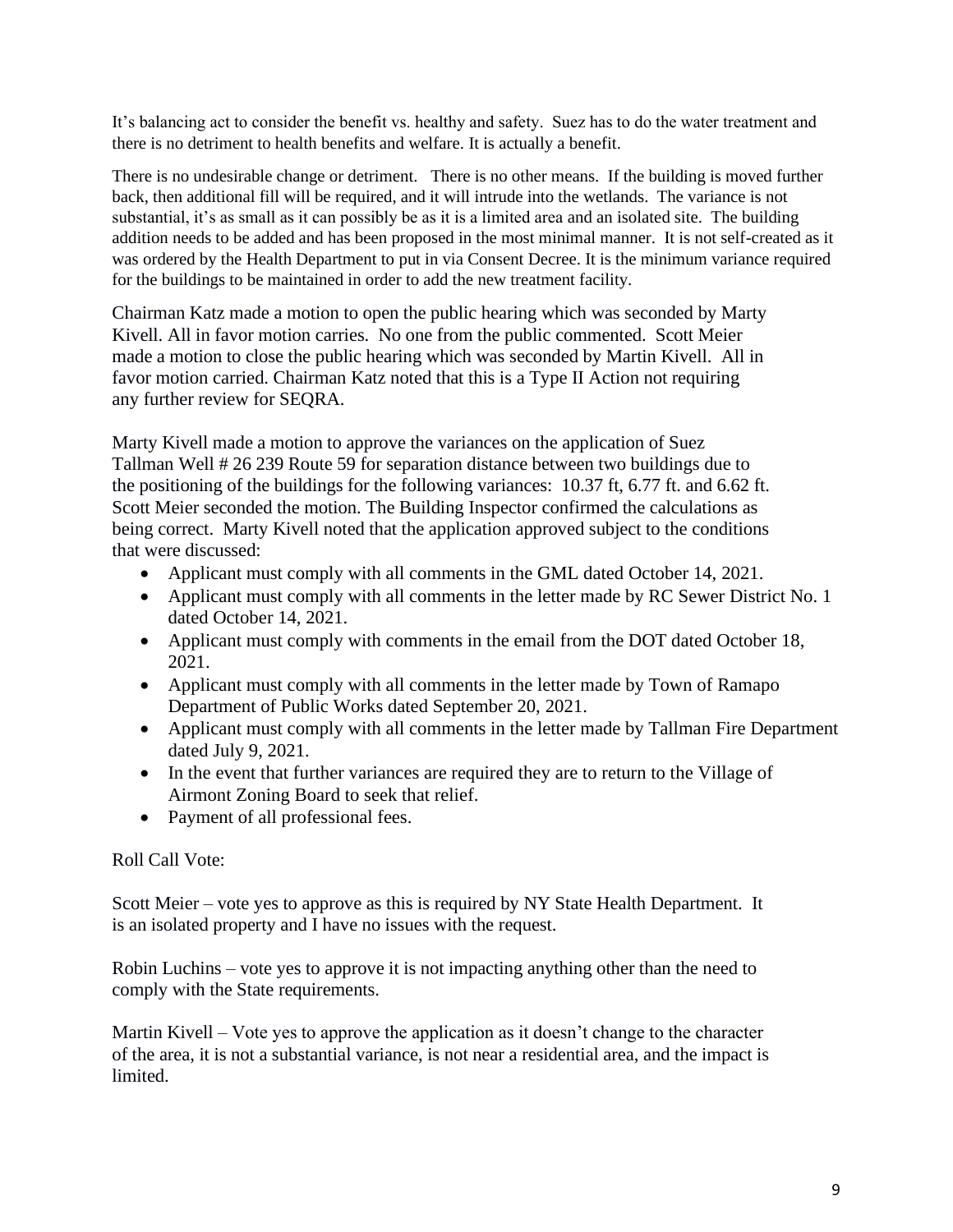It's balancing act to consider the benefit vs. healthy and safety. Suez has to do the water treatment and there is no detriment to health benefits and welfare. It is actually a benefit.

There is no undesirable change or detriment. There is no other means. If the building is moved further back, then additional fill will be required, and it will intrude into the wetlands. The variance is not substantial, it's as small as it can possibly be as it is a limited area and an isolated site. The building addition needs to be added and has been proposed in the most minimal manner. It is not self-created as it was ordered by the Health Department to put in via Consent Decree. It is the minimum variance required for the buildings to be maintained in order to add the new treatment facility.

Chairman Katz made a motion to open the public hearing which was seconded by Marty Kivell. All in favor motion carries. No one from the public commented. Scott Meier made a motion to close the public hearing which was seconded by Martin Kivell. All in favor motion carried. Chairman Katz noted that this is a Type II Action not requiring any further review for SEQRA.

Marty Kivell made a motion to approve the variances on the application of Suez Tallman Well # 26 239 Route 59 for separation distance between two buildings due to the positioning of the buildings for the following variances: 10.37 ft, 6.77 ft. and 6.62 ft. Scott Meier seconded the motion. The Building Inspector confirmed the calculations as being correct. Marty Kivell noted that the application approved subject to the conditions that were discussed:

- Applicant must comply with all comments in the GML dated October 14, 2021.
- Applicant must comply with all comments in the letter made by RC Sewer District No. 1 dated October 14, 2021.
- Applicant must comply with comments in the email from the DOT dated October 18, 2021.
- Applicant must comply with all comments in the letter made by Town of Ramapo Department of Public Works dated September 20, 2021.
- Applicant must comply with all comments in the letter made by Tallman Fire Department dated July 9, 2021.
- In the event that further variances are required they are to return to the Village of Airmont Zoning Board to seek that relief.
- Payment of all professional fees.

## Roll Call Vote:

Scott Meier – vote yes to approve as this is required by NY State Health Department. It is an isolated property and I have no issues with the request.

Robin Luchins – vote yes to approve it is not impacting anything other than the need to comply with the State requirements.

Martin Kivell – Vote yes to approve the application as it doesn't change to the character of the area, it is not a substantial variance, is not near a residential area, and the impact is limited.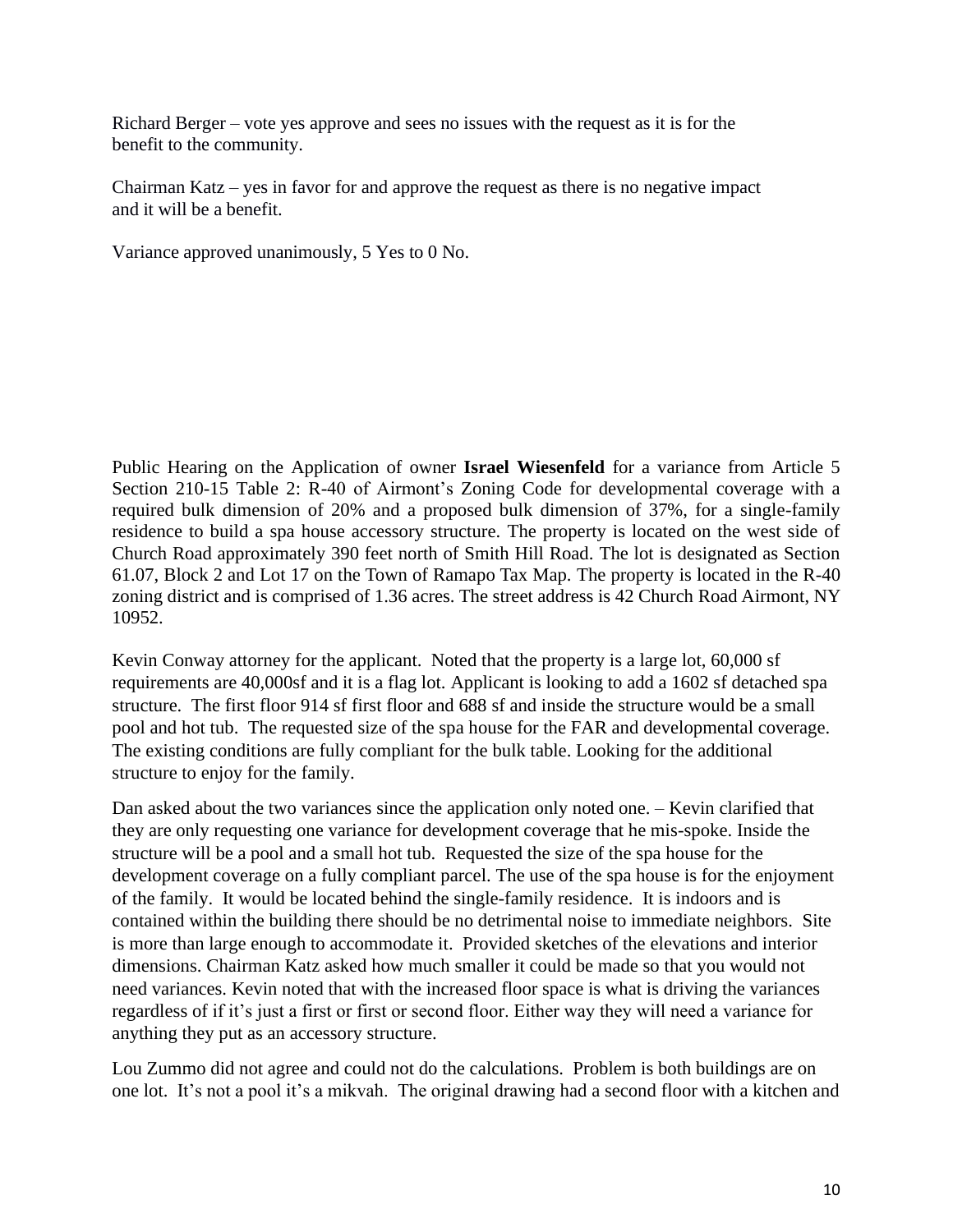Richard Berger – vote yes approve and sees no issues with the request as it is for the benefit to the community.

Chairman Katz – yes in favor for and approve the request as there is no negative impact and it will be a benefit.

Variance approved unanimously, 5 Yes to 0 No.

Public Hearing on the Application of owner **Israel Wiesenfeld** for a variance from Article 5 Section 210-15 Table 2: R-40 of Airmont's Zoning Code for developmental coverage with a required bulk dimension of 20% and a proposed bulk dimension of 37%, for a single-family residence to build a spa house accessory structure. The property is located on the west side of Church Road approximately 390 feet north of Smith Hill Road. The lot is designated as Section 61.07, Block 2 and Lot 17 on the Town of Ramapo Tax Map. The property is located in the R-40 zoning district and is comprised of 1.36 acres. The street address is 42 Church Road Airmont, NY 10952.

Kevin Conway attorney for the applicant. Noted that the property is a large lot, 60,000 sf requirements are 40,000sf and it is a flag lot. Applicant is looking to add a 1602 sf detached spa structure. The first floor 914 sf first floor and 688 sf and inside the structure would be a small pool and hot tub. The requested size of the spa house for the FAR and developmental coverage. The existing conditions are fully compliant for the bulk table. Looking for the additional structure to enjoy for the family.

Dan asked about the two variances since the application only noted one. – Kevin clarified that they are only requesting one variance for development coverage that he mis-spoke. Inside the structure will be a pool and a small hot tub. Requested the size of the spa house for the development coverage on a fully compliant parcel. The use of the spa house is for the enjoyment of the family. It would be located behind the single-family residence. It is indoors and is contained within the building there should be no detrimental noise to immediate neighbors. Site is more than large enough to accommodate it. Provided sketches of the elevations and interior dimensions. Chairman Katz asked how much smaller it could be made so that you would not need variances. Kevin noted that with the increased floor space is what is driving the variances regardless of if it's just a first or first or second floor. Either way they will need a variance for anything they put as an accessory structure.

Lou Zummo did not agree and could not do the calculations. Problem is both buildings are on one lot. It's not a pool it's a mikvah. The original drawing had a second floor with a kitchen and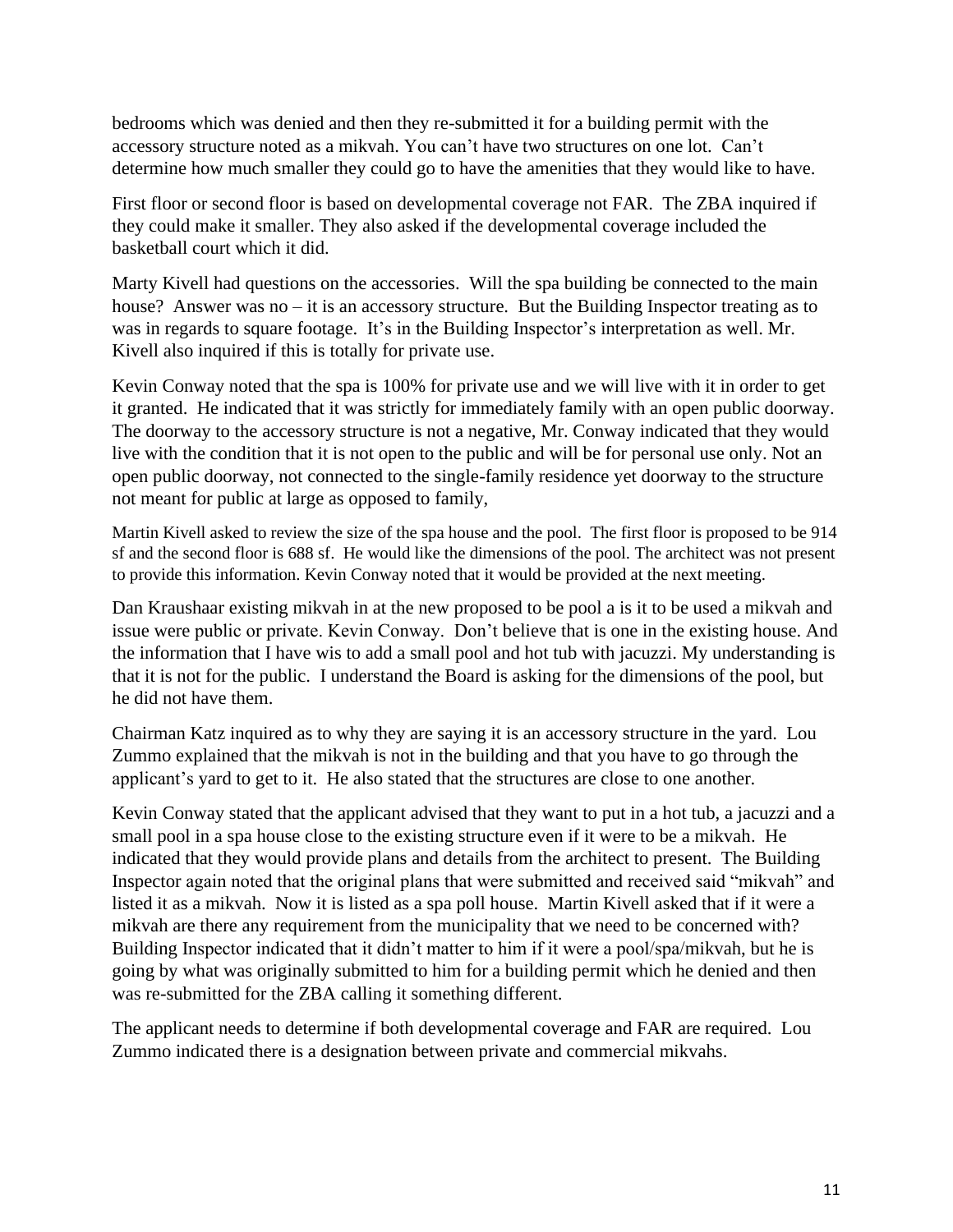bedrooms which was denied and then they re-submitted it for a building permit with the accessory structure noted as a mikvah. You can't have two structures on one lot. Can't determine how much smaller they could go to have the amenities that they would like to have.

First floor or second floor is based on developmental coverage not FAR. The ZBA inquired if they could make it smaller. They also asked if the developmental coverage included the basketball court which it did.

Marty Kivell had questions on the accessories. Will the spa building be connected to the main house? Answer was no – it is an accessory structure. But the Building Inspector treating as to was in regards to square footage. It's in the Building Inspector's interpretation as well. Mr. Kivell also inquired if this is totally for private use.

Kevin Conway noted that the spa is 100% for private use and we will live with it in order to get it granted. He indicated that it was strictly for immediately family with an open public doorway. The doorway to the accessory structure is not a negative, Mr. Conway indicated that they would live with the condition that it is not open to the public and will be for personal use only. Not an open public doorway, not connected to the single-family residence yet doorway to the structure not meant for public at large as opposed to family,

Martin Kivell asked to review the size of the spa house and the pool. The first floor is proposed to be 914 sf and the second floor is 688 sf. He would like the dimensions of the pool. The architect was not present to provide this information. Kevin Conway noted that it would be provided at the next meeting.

Dan Kraushaar existing mikvah in at the new proposed to be pool a is it to be used a mikvah and issue were public or private. Kevin Conway. Don't believe that is one in the existing house. And the information that I have wis to add a small pool and hot tub with jacuzzi. My understanding is that it is not for the public. I understand the Board is asking for the dimensions of the pool, but he did not have them.

Chairman Katz inquired as to why they are saying it is an accessory structure in the yard. Lou Zummo explained that the mikvah is not in the building and that you have to go through the applicant's yard to get to it. He also stated that the structures are close to one another.

Kevin Conway stated that the applicant advised that they want to put in a hot tub, a jacuzzi and a small pool in a spa house close to the existing structure even if it were to be a mikvah. He indicated that they would provide plans and details from the architect to present. The Building Inspector again noted that the original plans that were submitted and received said "mikvah" and listed it as a mikvah. Now it is listed as a spa poll house. Martin Kivell asked that if it were a mikvah are there any requirement from the municipality that we need to be concerned with? Building Inspector indicated that it didn't matter to him if it were a pool/spa/mikvah, but he is going by what was originally submitted to him for a building permit which he denied and then was re-submitted for the ZBA calling it something different.

The applicant needs to determine if both developmental coverage and FAR are required. Lou Zummo indicated there is a designation between private and commercial mikvahs.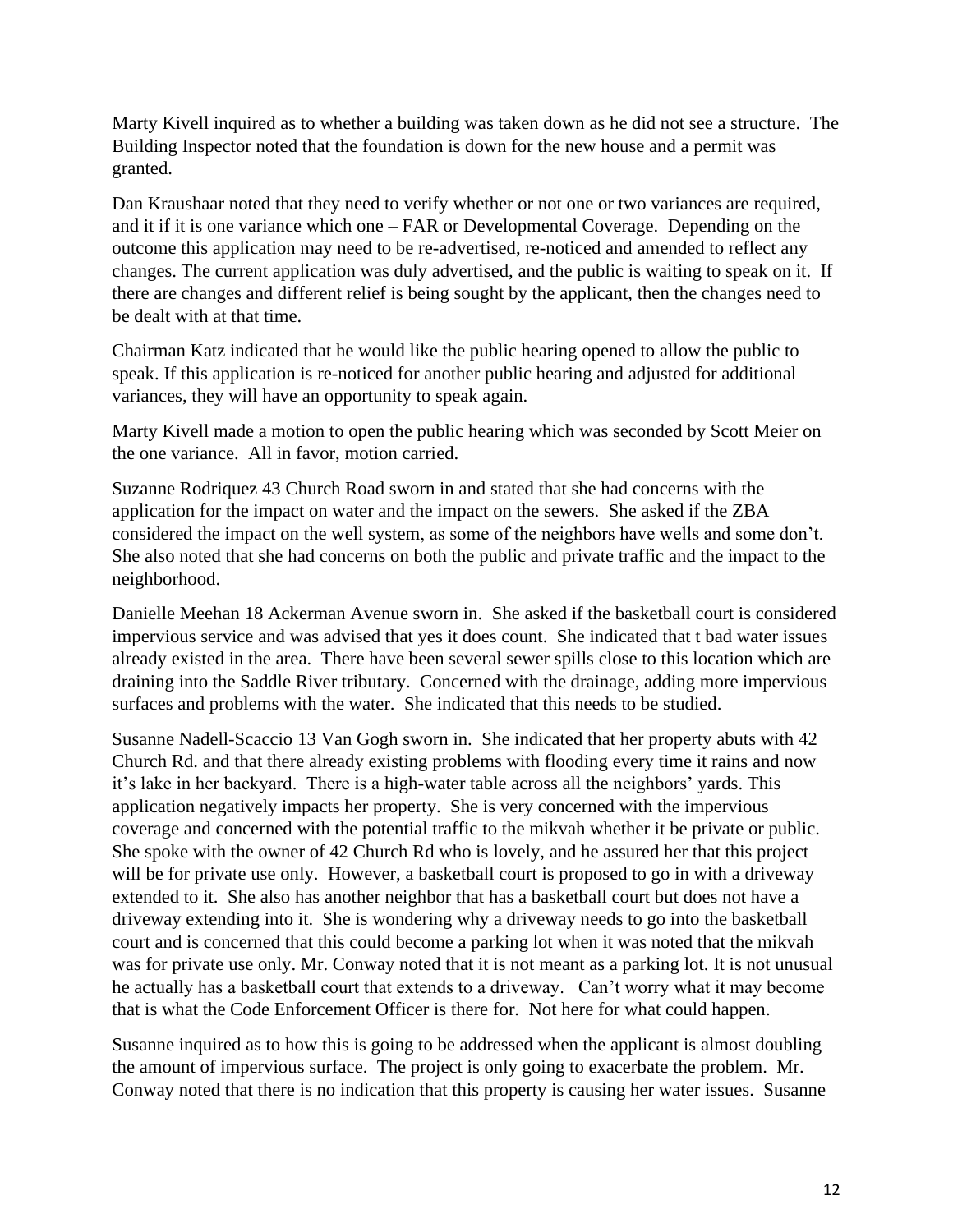Marty Kivell inquired as to whether a building was taken down as he did not see a structure. The Building Inspector noted that the foundation is down for the new house and a permit was granted.

Dan Kraushaar noted that they need to verify whether or not one or two variances are required, and it if it is one variance which one – FAR or Developmental Coverage. Depending on the outcome this application may need to be re-advertised, re-noticed and amended to reflect any changes. The current application was duly advertised, and the public is waiting to speak on it. If there are changes and different relief is being sought by the applicant, then the changes need to be dealt with at that time.

Chairman Katz indicated that he would like the public hearing opened to allow the public to speak. If this application is re-noticed for another public hearing and adjusted for additional variances, they will have an opportunity to speak again.

Marty Kivell made a motion to open the public hearing which was seconded by Scott Meier on the one variance. All in favor, motion carried.

Suzanne Rodriquez 43 Church Road sworn in and stated that she had concerns with the application for the impact on water and the impact on the sewers. She asked if the ZBA considered the impact on the well system, as some of the neighbors have wells and some don't. She also noted that she had concerns on both the public and private traffic and the impact to the neighborhood.

Danielle Meehan 18 Ackerman Avenue sworn in. She asked if the basketball court is considered impervious service and was advised that yes it does count. She indicated that t bad water issues already existed in the area. There have been several sewer spills close to this location which are draining into the Saddle River tributary. Concerned with the drainage, adding more impervious surfaces and problems with the water. She indicated that this needs to be studied.

Susanne Nadell-Scaccio 13 Van Gogh sworn in. She indicated that her property abuts with 42 Church Rd. and that there already existing problems with flooding every time it rains and now it's lake in her backyard. There is a high-water table across all the neighbors' yards. This application negatively impacts her property. She is very concerned with the impervious coverage and concerned with the potential traffic to the mikvah whether it be private or public. She spoke with the owner of 42 Church Rd who is lovely, and he assured her that this project will be for private use only. However, a basketball court is proposed to go in with a driveway extended to it. She also has another neighbor that has a basketball court but does not have a driveway extending into it. She is wondering why a driveway needs to go into the basketball court and is concerned that this could become a parking lot when it was noted that the mikvah was for private use only. Mr. Conway noted that it is not meant as a parking lot. It is not unusual he actually has a basketball court that extends to a driveway. Can't worry what it may become that is what the Code Enforcement Officer is there for. Not here for what could happen.

Susanne inquired as to how this is going to be addressed when the applicant is almost doubling the amount of impervious surface. The project is only going to exacerbate the problem. Mr. Conway noted that there is no indication that this property is causing her water issues. Susanne